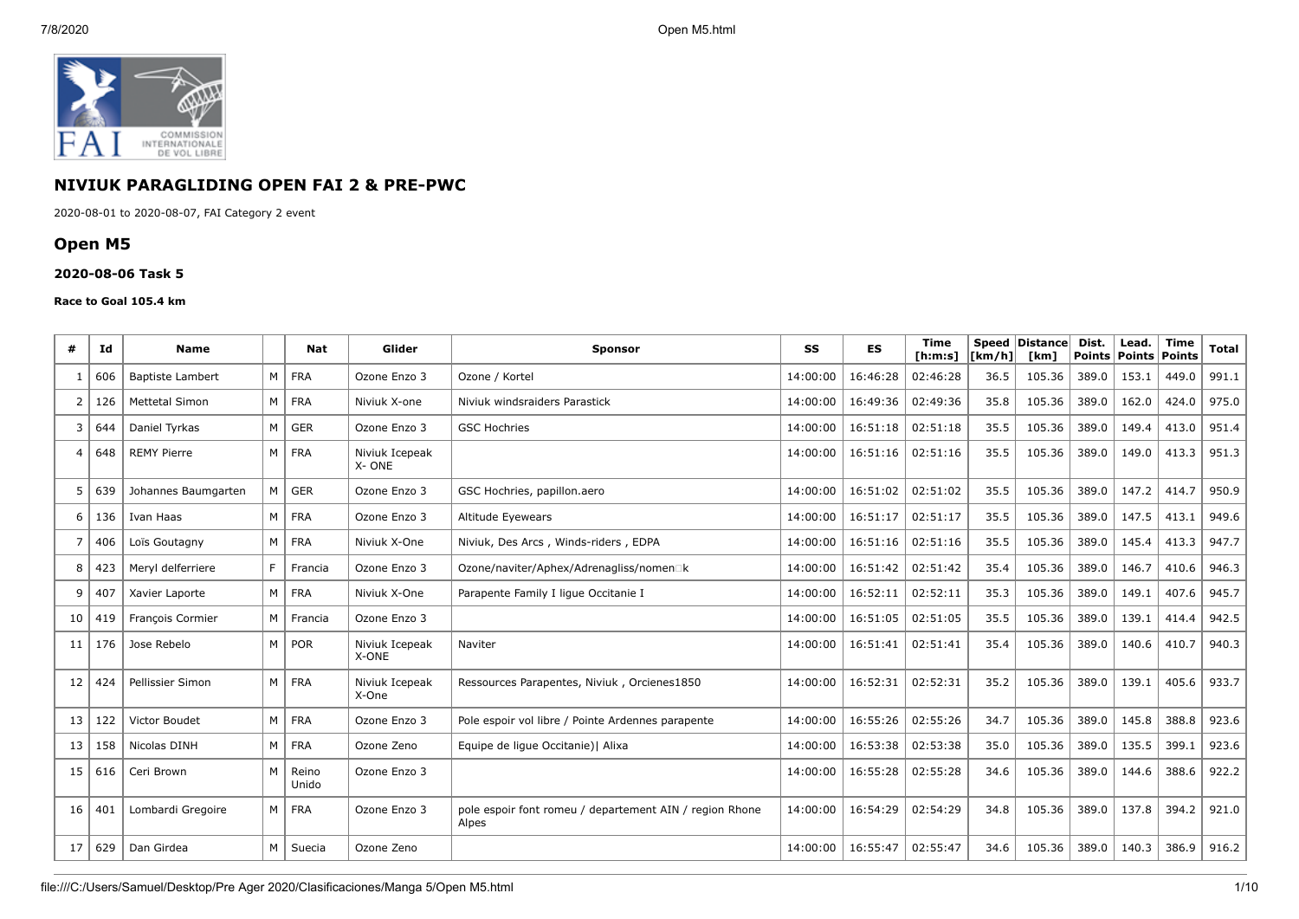

# **NIVIUK PARAGLIDING OPEN FAI 2 & PRE-PWC**

2020-08-01 to 2020-08-07, FAI Category 2 event

# **Open M5**

#### **2020-08-06 Task 5**

#### **Race to Goal 105.4 km**

| #              | Id  | <b>Name</b>             |   | <b>Nat</b>     | Glider                  | <b>Sponsor</b>                                                   | SS       | <b>ES</b> | <b>Time</b><br>[ <b>h</b> : <b>m</b> : <b>s</b> ] | [km/h] | Speed   Distance  <br>[km] | Dist.<br><b>Points</b> | Lead.<br>Points | <b>Time</b><br><b>Points</b> | <b>Total</b> |
|----------------|-----|-------------------------|---|----------------|-------------------------|------------------------------------------------------------------|----------|-----------|---------------------------------------------------|--------|----------------------------|------------------------|-----------------|------------------------------|--------------|
|                | 606 | <b>Baptiste Lambert</b> |   | M FRA          | Ozone Enzo 3            | Ozone / Kortel                                                   | 14:00:00 | 16:46:28  | 02:46:28                                          | 36.5   | 105.36                     | 389.0                  | 153.1           | 449.0                        | 991.1        |
| $\overline{2}$ | 126 | <b>Mettetal Simon</b>   |   | M FRA          | Niviuk X-one            | Niviuk windsraiders Parastick                                    | 14:00:00 | 16:49:36  | 02:49:36                                          | 35.8   | 105.36                     | 389.0                  | 162.0           | 424.0                        | 975.0        |
| 3              | 644 | Daniel Tyrkas           |   | M GER          | Ozone Enzo 3            | <b>GSC Hochries</b>                                              | 14:00:00 | 16:51:18  | 02:51:18                                          | 35.5   | 105.36                     | 389.0                  | 149.4           | 413.0                        | 951.4        |
| 4              | 648 | <b>REMY Pierre</b>      |   | M FRA          | Niviuk Icepeak<br>X-ONE |                                                                  | 14:00:00 | 16:51:16  | 02:51:16                                          | 35.5   | 105.36                     | 389.0                  | 149.0           | 413.3                        | 951.3        |
| 5              | 639 | Johannes Baumgarten     | M | l ger          | Ozone Enzo 3            | GSC Hochries, papillon.aero                                      | 14:00:00 | 16:51:02  | 02:51:02                                          | 35.5   | 105.36                     | 389.0                  | 147.2           | 414.7                        | 950.9        |
| 6              | 136 | Ivan Haas               |   | M FRA          | Ozone Enzo 3            | Altitude Eyewears                                                | 14:00:00 | 16:51:17  | 02:51:17                                          | 35.5   | 105.36                     | 389.0                  | 147.5           | 413.1                        | 949.6        |
|                | 406 | Loïs Goutagny           |   | $M$   FRA      | Niviuk X-One            | Niviuk, Des Arcs, Winds-riders, EDPA                             | 14:00:00 | 16:51:16  | 02:51:16                                          | 35.5   | 105.36                     | 389.0                  | 145.4           | 413.3                        | 947.7        |
| 8              | 423 | Meryl delferriere       | F | Francia        | Ozone Enzo 3            | Ozone/naviter/Aphex/Adrenagliss/nomen□k                          | 14:00:00 | 16:51:42  | 02:51:42                                          | 35.4   | 105.36                     | 389.0                  | 146.7           | 410.6                        | 946.3        |
| 9              | 407 | Xavier Laporte          |   | $M$   FRA      | Niviuk X-One            | Parapente Family I lique Occitanie I                             | 14:00:00 | 16:52:11  | 02:52:11                                          | 35.3   | 105.36                     | 389.0                  | 149.1           | 407.6                        | 945.7        |
| 10             | 419 | François Cormier        |   | M   Francia    | Ozone Enzo 3            |                                                                  | 14:00:00 | 16:51:05  | 02:51:05                                          | 35.5   | 105.36                     | 389.0                  | 139.1           | 414.4                        | 942.5        |
| 11             | 176 | Jose Rebelo             |   | M   POR        | Niviuk Icepeak<br>X-ONE | Naviter                                                          | 14:00:00 | 16:51:41  | 02:51:41                                          | 35.4   | 105.36                     | 389.0                  | 140.6           | 410.7                        | 940.3        |
| 12             | 424 | Pellissier Simon        |   | M FRA          | Niviuk Icepeak<br>X-One | Ressources Parapentes, Niviuk, Orcienes1850                      | 14:00:00 | 16:52:31  | 02:52:31                                          | 35.2   | 105.36                     | 389.0                  | 139.1           | 405.6                        | 933.7        |
| 13             | 122 | Victor Boudet           | M | <b>FRA</b>     | Ozone Enzo 3            | Pole espoir vol libre / Pointe Ardennes parapente                | 14:00:00 | 16:55:26  | 02:55:26                                          | 34.7   | 105.36                     | 389.0                  | 145.8           | 388.8                        | 923.6        |
| 13             | 158 | Nicolas DINH            |   | M FRA          | Ozone Zeno              | Equipe de lique Occitanie)   Alixa                               | 14:00:00 | 16:53:38  | 02:53:38                                          | 35.0   | 105.36                     | 389.0                  | 135.5           | 399.1                        | 923.6        |
| 15             | 616 | Ceri Brown              | M | Reino<br>Unido | Ozone Enzo 3            |                                                                  | 14:00:00 | 16:55:28  | 02:55:28                                          | 34.6   | 105.36                     | 389.0                  | 144.6           | 388.6                        | 922.2        |
| 16             | 401 | Lombardi Gregoire       |   | M FRA          | Ozone Enzo 3            | pole espoir font romeu / departement AIN / region Rhone<br>Alpes | 14:00:00 | 16:54:29  | 02:54:29                                          | 34.8   | 105.36                     | 389.0                  | 137.8           | 394.2                        | 921.0        |
| 17             | 629 | Dan Girdea              | M | Suecia         | Ozone Zeno              |                                                                  | 14:00:00 | 16:55:47  | 02:55:47                                          | 34.6   | 105.36                     | 389.0                  | 140.3           | 386.9                        | 916.2        |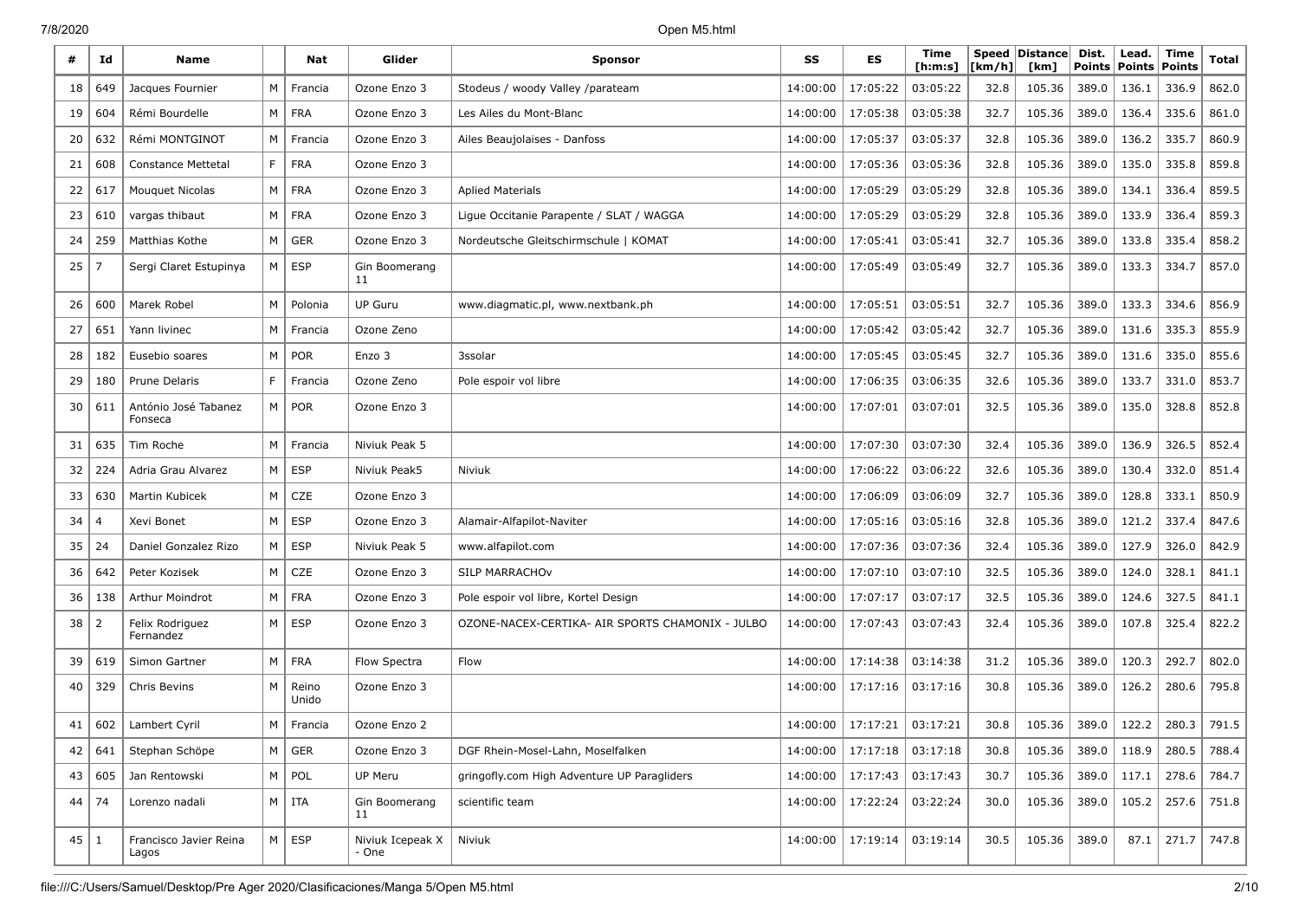| #    | Id  | <b>Name</b>                     |     | Nat            | Glider                    | <b>Sponsor</b>                                   | SS       | ES       | Time<br>[ h: m: s] | [km/h] | Speed Distance<br>[km] | Dist.<br><b>Points</b> | Lead.<br><b>Points</b> | Time<br><b>Points</b> | Total |
|------|-----|---------------------------------|-----|----------------|---------------------------|--------------------------------------------------|----------|----------|--------------------|--------|------------------------|------------------------|------------------------|-----------------------|-------|
| 18   | 649 | Jacques Fournier                | M   | Francia        | Ozone Enzo 3              | Stodeus / woody Valley /parateam                 | 14:00:00 | 17:05:22 | 03:05:22           | 32.8   | 105.36                 | 389.0                  | 136.1                  | 336.9                 | 862.0 |
| 19   | 604 | Rémi Bourdelle                  | M I | <b>FRA</b>     | Ozone Enzo 3              | Les Ailes du Mont-Blanc                          | 14:00:00 | 17:05:38 | 03:05:38           | 32.7   | 105.36                 | 389.0                  | 136.4                  | 335.6                 | 861.0 |
| 20   | 632 | Rémi MONTGINOT                  | M   | Francia        | Ozone Enzo 3              | Ailes Beaujolaises - Danfoss                     | 14:00:00 | 17:05:37 | 03:05:37           | 32.8   | 105.36                 | 389.0                  | 136.2                  | 335.7                 | 860.9 |
| 21   | 608 | <b>Constance Mettetal</b>       | F   | <b>FRA</b>     | Ozone Enzo 3              |                                                  | 14:00:00 | 17:05:36 | 03:05:36           | 32.8   | 105.36                 | 389.0                  | 135.0                  | 335.8                 | 859.8 |
| 22   | 617 | <b>Mouquet Nicolas</b>          | М   | <b>FRA</b>     | Ozone Enzo 3              | <b>Aplied Materials</b>                          | 14:00:00 | 17:05:29 | 03:05:29           | 32.8   | 105.36                 | 389.0                  | 134.1                  | 336.4                 | 859.5 |
| 23   | 610 | vargas thibaut                  | M   | <b>FRA</b>     | Ozone Enzo 3              | Ligue Occitanie Parapente / SLAT / WAGGA         | 14:00:00 | 17:05:29 | 03:05:29           | 32.8   | 105.36                 | 389.0                  | 133.9                  | 336.4                 | 859.3 |
| 24   | 259 | Matthias Kothe                  | M   | <b>GER</b>     | Ozone Enzo 3              | Nordeutsche Gleitschirmschule   KOMAT            | 14:00:00 | 17:05:41 | 03:05:41           | 32.7   | 105.36                 | 389.0                  | 133.8                  | 335.4                 | 858.2 |
| 25   | -7  | Sergi Claret Estupinya          | M   | <b>ESP</b>     | Gin Boomerang<br>11       |                                                  | 14:00:00 | 17:05:49 | 03:05:49           | 32.7   | 105.36                 | 389.0                  | 133.3                  | 334.7                 | 857.0 |
| 26   | 600 | Marek Robel                     | M   | Polonia        | <b>UP Guru</b>            | www.diagmatic.pl, www.nextbank.ph                | 14:00:00 | 17:05:51 | 03:05:51           | 32.7   | 105.36                 | 389.0                  | 133.3                  | 334.6                 | 856.9 |
| 27   | 651 | Yann livinec                    | M   | Francia        | Ozone Zeno                |                                                  | 14:00:00 | 17:05:42 | 03:05:42           | 32.7   | 105.36                 | 389.0                  | 131.6                  | 335.3                 | 855.9 |
| 28   | 182 | Eusebio soares                  | M   | <b>POR</b>     | Enzo 3                    | 3ssolar                                          | 14:00:00 | 17:05:45 | 03:05:45           | 32.7   | 105.36                 | 389.0                  | 131.6                  | 335.0                 | 855.6 |
| 29   | 180 | Prune Delaris                   | F   | Francia        | Ozone Zeno                | Pole espoir vol libre                            | 14:00:00 | 17:06:35 | 03:06:35           | 32.6   | 105.36                 | 389.0                  | 133.7                  | 331.0                 | 853.7 |
| 30   | 611 | António José Tabanez<br>Fonseca | M   | <b>POR</b>     | Ozone Enzo 3              |                                                  | 14:00:00 | 17:07:01 | 03:07:01           | 32.5   | 105.36                 | 389.0                  | 135.0                  | 328.8                 | 852.8 |
| 31   | 635 | Tim Roche                       | M   | Francia        | Niviuk Peak 5             |                                                  | 14:00:00 | 17:07:30 | 03:07:30           | 32.4   | 105.36                 | 389.0                  | 136.9                  | 326.5                 | 852.4 |
| 32   | 224 | Adria Grau Alvarez              | M   | <b>ESP</b>     | Niviuk Peak5              | Niviuk                                           | 14:00:00 | 17:06:22 | 03:06:22           | 32.6   | 105.36                 | 389.0                  | 130.4                  | 332.0                 | 851.4 |
| 33   | 630 | Martin Kubicek                  | М   | CZE            | Ozone Enzo 3              |                                                  | 14:00:00 | 17:06:09 | 03:06:09           | 32.7   | 105.36                 | 389.0                  | 128.8                  | 333.1                 | 850.9 |
| 34   | 4   | Xevi Bonet                      | M   | <b>ESP</b>     | Ozone Enzo 3              | Alamair-Alfapilot-Naviter                        | 14:00:00 | 17:05:16 | 03:05:16           | 32.8   | 105.36                 | 389.0                  | 121.2                  | 337.4                 | 847.6 |
| 35   | 24  | Daniel Gonzalez Rizo            | M   | <b>ESP</b>     | Niviuk Peak 5             | www.alfapilot.com                                | 14:00:00 | 17:07:36 | 03:07:36           | 32.4   | 105.36                 | 389.0                  | 127.9                  | 326.0                 | 842.9 |
| 36   | 642 | Peter Kozisek                   | М   | CZE            | Ozone Enzo 3              | SILP MARRACHOV                                   | 14:00:00 | 17:07:10 | 03:07:10           | 32.5   | 105.36                 | 389.0                  | 124.0                  | 328.1                 | 841.1 |
| 36   | 138 | Arthur Moindrot                 | M   | <b>FRA</b>     | Ozone Enzo 3              | Pole espoir vol libre, Kortel Design             | 14:00:00 | 17:07:17 | 03:07:17           | 32.5   | 105.36                 | 389.0                  | 124.6                  | 327.5                 | 841.1 |
| 38 I | 2   | Felix Rodriguez<br>Fernandez    |     | $M \vert$ ESP  | Ozone Enzo 3              | OZONE-NACEX-CERTIKA- AIR SPORTS CHAMONIX - JULBO | 14:00:00 | 17:07:43 | 03:07:43           | 32.4   | 105.36                 | 389.0                  | 107.8                  | 325.4                 | 822.2 |
| 39   | 619 | Simon Gartner                   | M   | <b>FRA</b>     | Flow Spectra              | Flow                                             | 14:00:00 | 17:14:38 | 03:14:38           | 31.2   | 105.36                 | 389.0                  | 120.3                  | 292.7                 | 802.0 |
| 40   | 329 | Chris Bevins                    | M   | Reino<br>Unido | Ozone Enzo 3              |                                                  | 14:00:00 | 17:17:16 | 03:17:16           | 30.8   | 105.36                 | 389.0                  | 126.2                  | 280.6                 | 795.8 |
| 41   | 602 | Lambert Cyril                   | M   | Francia        | Ozone Enzo 2              |                                                  | 14:00:00 | 17:17:21 | 03:17:21           | 30.8   | 105.36                 | 389.0                  | 122.2                  | 280.3                 | 791.5 |
| 42   | 641 | Stephan Schöpe                  |     | $M \vert$ GER  | Ozone Enzo 3              | DGF Rhein-Mosel-Lahn, Moselfalken                | 14:00:00 | 17:17:18 | 03:17:18           | 30.8   | 105.36                 | 389.0                  | 118.9                  | 280.5                 | 788.4 |
| 43   | 605 | Jan Rentowski                   |     | $M \vert POL$  | UP Meru                   | gringofly.com High Adventure UP Paragliders      | 14:00:00 | 17:17:43 | 03:17:43           | 30.7   | 105.36                 | 389.0                  | 117.1                  | 278.6                 | 784.7 |
| 44   | 74  | Lorenzo nadali                  |     | $M$   ITA      | Gin Boomerang<br>11       | scientific team                                  | 14:00:00 | 17:22:24 | 03:22:24           | 30.0   | 105.36                 | 389.0                  | 105.2                  | 257.6                 | 751.8 |
| 45 1 |     | Francisco Javier Reina<br>Lagos |     | $M \vert$ ESP  | Niviuk Icepeak X<br>- One | Niviuk                                           | 14:00:00 | 17:19:14 | 03:19:14           | 30.5   | 105.36                 | 389.0                  | 87.1                   | 271.7                 | 747.8 |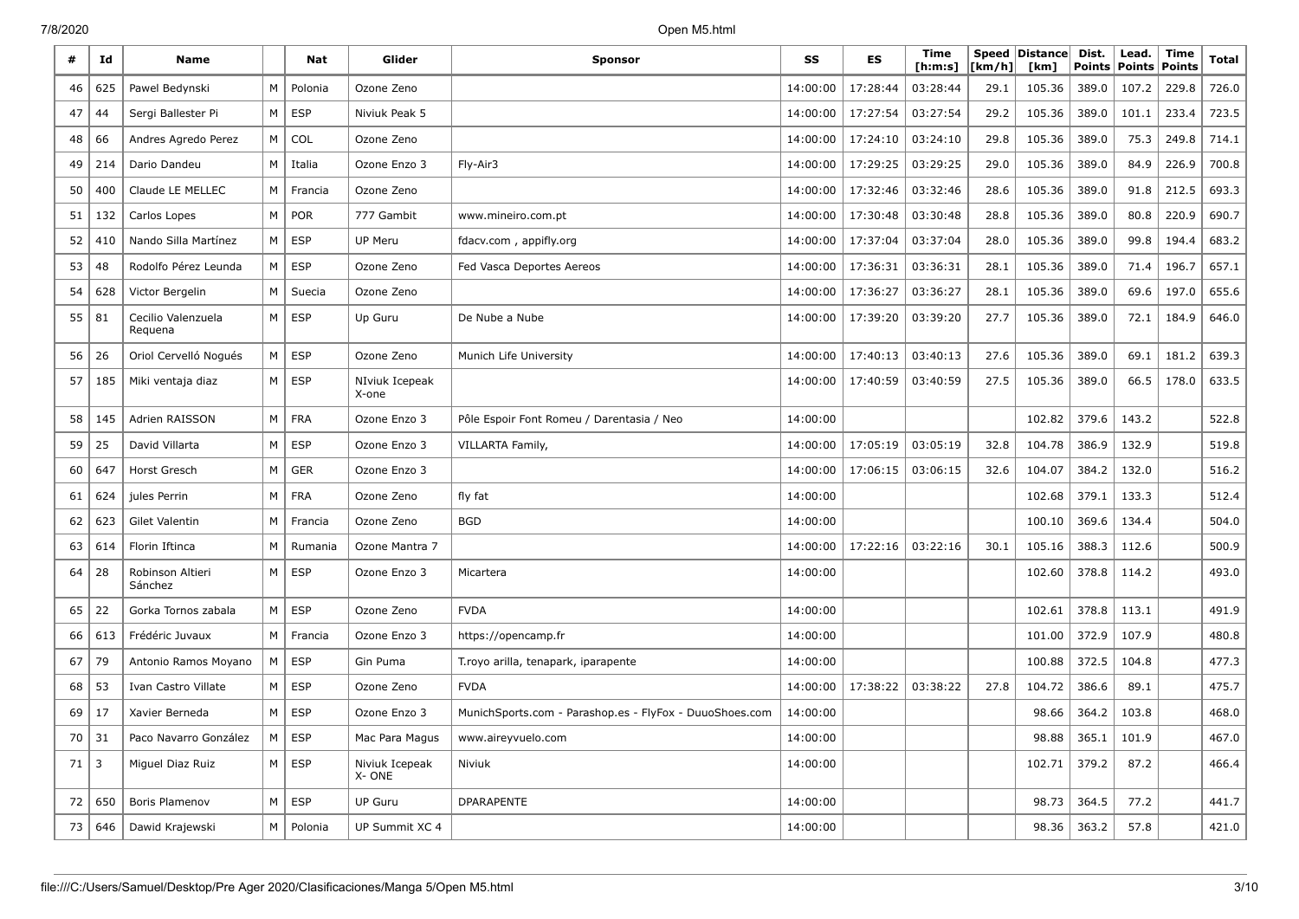| #  | Id  | <b>Name</b>                   |                | Nat        | Glider                  | <b>Sponsor</b>                                          | SS       | ES       | Time<br>[ <b>h</b> : <b>m</b> : <b>s</b> ] | Speed<br>[km/h] | $ {\sf Distance} $<br>[km] | Dist.<br><b>Points</b> | Lead.<br><b>Points</b> | Time<br><b>Points</b> | Total |
|----|-----|-------------------------------|----------------|------------|-------------------------|---------------------------------------------------------|----------|----------|--------------------------------------------|-----------------|----------------------------|------------------------|------------------------|-----------------------|-------|
| 46 | 625 | Pawel Bedynski                | M              | Polonia    | Ozone Zeno              |                                                         | 14:00:00 | 17:28:44 | 03:28:44                                   | 29.1            | 105.36                     | 389.0                  | 107.2                  | 229.8                 | 726.0 |
| 47 | 44  | Sergi Ballester Pi            | M              | <b>ESP</b> | Niviuk Peak 5           |                                                         | 14:00:00 | 17:27:54 | 03:27:54                                   | 29.2            | 105.36                     | 389.0                  | 101.1                  | 233.4                 | 723.5 |
| 48 | 66  | Andres Agredo Perez           | M              | COL        | Ozone Zeno              |                                                         | 14:00:00 | 17:24:10 | 03:24:10                                   | 29.8            | 105.36                     | 389.0                  | 75.3                   | 249.8                 | 714.1 |
| 49 | 214 | Dario Dandeu                  | M              | Italia     | Ozone Enzo 3            | Fly-Air3                                                | 14:00:00 | 17:29:25 | 03:29:25                                   | 29.0            | 105.36                     | 389.0                  | 84.9                   | 226.9                 | 700.8 |
| 50 | 400 | Claude LE MELLEC              | M              | Francia    | Ozone Zeno              |                                                         | 14:00:00 | 17:32:46 | 03:32:46                                   | 28.6            | 105.36                     | 389.0                  | 91.8                   | 212.5                 | 693.3 |
| 51 | 132 | Carlos Lopes                  | M              | POR        | 777 Gambit              | www.mineiro.com.pt                                      | 14:00:00 | 17:30:48 | 03:30:48                                   | 28.8            | 105.36                     | 389.0                  | 80.8                   | 220.9                 | 690.7 |
| 52 | 410 | Nando Silla Martínez          | M              | <b>ESP</b> | <b>UP Meru</b>          | fdacv.com, appifly.org                                  | 14:00:00 | 17:37:04 | 03:37:04                                   | 28.0            | 105.36                     | 389.0                  | 99.8                   | 194.4                 | 683.2 |
| 53 | 48  | Rodolfo Pérez Leunda          | M              | <b>ESP</b> | Ozone Zeno              | Fed Vasca Deportes Aereos                               | 14:00:00 | 17:36:31 | 03:36:31                                   | 28.1            | 105.36                     | 389.0                  | 71.4                   | 196.7                 | 657.1 |
| 54 | 628 | Victor Bergelin               | м              | Suecia     | Ozone Zeno              |                                                         | 14:00:00 | 17:36:27 | 03:36:27                                   | 28.1            | 105.36                     | 389.0                  | 69.6                   | 197.0                 | 655.6 |
| 55 | 81  | Cecilio Valenzuela<br>Requena | M              | <b>ESP</b> | Up Guru                 | De Nube a Nube                                          | 14:00:00 | 17:39:20 | 03:39:20                                   | 27.7            | 105.36                     | 389.0                  | 72.1                   | 184.9                 | 646.0 |
| 56 | 26  | Oriol Cervelló Nogués         | M              | <b>ESP</b> | Ozone Zeno              | Munich Life University                                  | 14:00:00 | 17:40:13 | 03:40:13                                   | 27.6            | 105.36                     | 389.0                  | 69.1                   | 181.2                 | 639.3 |
| 57 | 185 | Miki ventaja diaz             | M <sub>1</sub> | <b>ESP</b> | NIviuk Icepeak<br>X-one |                                                         | 14:00:00 | 17:40:59 | 03:40:59                                   | 27.5            | 105.36                     | 389.0                  | 66.5                   | 178.0                 | 633.5 |
| 58 | 145 | Adrien RAISSON                | М              | <b>FRA</b> | Ozone Enzo 3            | Pôle Espoir Font Romeu / Darentasia / Neo               | 14:00:00 |          |                                            |                 | 102.82                     | 379.6                  | 143.2                  |                       | 522.8 |
| 59 | 25  | David Villarta                | M              | <b>ESP</b> | Ozone Enzo 3            | VILLARTA Family,                                        | 14:00:00 | 17:05:19 | 03:05:19                                   | 32.8            | 104.78                     | 386.9                  | 132.9                  |                       | 519.8 |
| 60 | 647 | Horst Gresch                  | M              | <b>GER</b> | Ozone Enzo 3            |                                                         | 14:00:00 | 17:06:15 | 03:06:15                                   | 32.6            | 104.07                     | 384.2                  | 132.0                  |                       | 516.2 |
| 61 | 624 | jules Perrin                  | M              | <b>FRA</b> | Ozone Zeno              | fly fat                                                 | 14:00:00 |          |                                            |                 | 102.68                     | 379.1                  | 133.3                  |                       | 512.4 |
| 62 | 623 | Gilet Valentin                | M              | Francia    | Ozone Zeno              | <b>BGD</b>                                              | 14:00:00 |          |                                            |                 | 100.10                     | 369.6                  | 134.4                  |                       | 504.0 |
| 63 | 614 | Florin Iftinca                | M              | Rumania    | Ozone Mantra 7          |                                                         | 14:00:00 | 17:22:16 | 03:22:16                                   | 30.1            | 105.16                     | 388.3                  | 112.6                  |                       | 500.9 |
| 64 | 28  | Robinson Altieri<br>Sánchez   | M              | <b>ESP</b> | Ozone Enzo 3            | Micartera                                               | 14:00:00 |          |                                            |                 | 102.60                     | 378.8                  | 114.2                  |                       | 493.0 |
| 65 | 22  | Gorka Tornos zabala           | M              | <b>ESP</b> | Ozone Zeno              | <b>FVDA</b>                                             | 14:00:00 |          |                                            |                 | 102.61                     | 378.8                  | 113.1                  |                       | 491.9 |
| 66 | 613 | Frédéric Juvaux               | M              | Francia    | Ozone Enzo 3            | https://opencamp.fr                                     | 14:00:00 |          |                                            |                 | 101.00                     | 372.9                  | 107.9                  |                       | 480.8 |
| 67 | 79  | Antonio Ramos Moyano          | M              | <b>ESP</b> | Gin Puma                | T.royo arilla, tenapark, iparapente                     | 14:00:00 |          |                                            |                 | 100.88                     | 372.5                  | 104.8                  |                       | 477.3 |
| 68 | 53  | Ivan Castro Villate           | M              | <b>ESP</b> | Ozone Zeno              | <b>FVDA</b>                                             | 14:00:00 | 17:38:22 | 03:38:22                                   | 27.8            | 104.72                     | 386.6                  | 89.1                   |                       | 475.7 |
| 69 | 17  | Xavier Berneda                | M              | <b>ESP</b> | Ozone Enzo 3            | MunichSports.com - Parashop.es - FlyFox - DuuoShoes.com | 14:00:00 |          |                                            |                 | 98.66                      | 364.2                  | 103.8                  |                       | 468.0 |
| 70 | 31  | Paco Navarro González         | M              | <b>ESP</b> | Mac Para Magus          | www.aireyvuelo.com                                      | 14:00:00 |          |                                            |                 | 98.88                      | 365.1                  | 101.9                  |                       | 467.0 |
| 71 | 3   | Miguel Diaz Ruiz              | M              | <b>ESP</b> | Niviuk Icepeak<br>X-ONE | Niviuk                                                  | 14:00:00 |          |                                            |                 | 102.71                     | 379.2                  | 87.2                   |                       | 466.4 |
| 72 | 650 | Boris Plamenov                | M              | <b>ESP</b> | <b>UP Guru</b>          | <b>DPARAPENTE</b>                                       | 14:00:00 |          |                                            |                 | 98.73                      | 364.5                  | 77.2                   |                       | 441.7 |
| 73 | 646 | Dawid Krajewski               | M              | Polonia    | UP Summit XC 4          |                                                         | 14:00:00 |          |                                            |                 | 98.36                      | 363.2                  | 57.8                   |                       | 421.0 |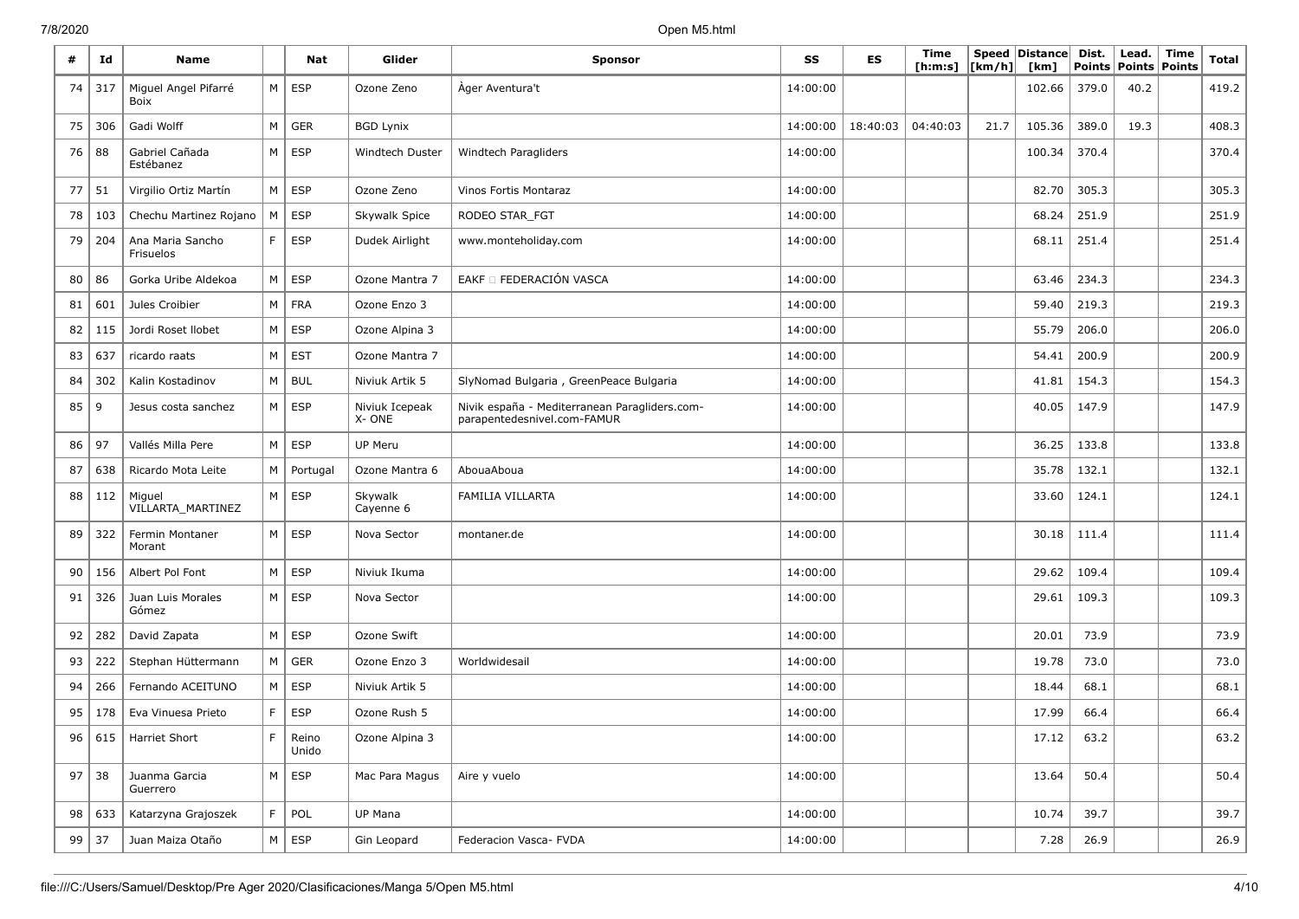| #  | Id  | <b>Name</b>                   |    | <b>Nat</b>     | Glider                  | <b>Sponsor</b>                                                               | SS       | ES       | <b>Time</b><br>[ h: m: s] | [km/h] | Speed Distance<br>[km] | Dist.<br>Points | Lead.<br>Points Points | Time | <b>Total</b> |
|----|-----|-------------------------------|----|----------------|-------------------------|------------------------------------------------------------------------------|----------|----------|---------------------------|--------|------------------------|-----------------|------------------------|------|--------------|
| 74 | 317 | Miguel Angel Pifarré<br>Boix  | M  | <b>ESP</b>     | Ozone Zeno              | Ager Aventura't                                                              | 14:00:00 |          |                           |        | 102.66                 | 379.0           | 40.2                   |      | 419.2        |
| 75 | 306 | Gadi Wolff                    | M  | <b>GER</b>     | <b>BGD Lynix</b>        |                                                                              | 14:00:00 | 18:40:03 | 04:40:03                  | 21.7   | 105.36                 | 389.0           | 19.3                   |      | 408.3        |
| 76 | 88  | Gabriel Cañada<br>Estébanez   | M  | <b>ESP</b>     | <b>Windtech Duster</b>  | Windtech Paragliders                                                         | 14:00:00 |          |                           |        | 100.34                 | 370.4           |                        |      | 370.4        |
| 77 | 51  | Virgilio Ortiz Martín         | M  | <b>ESP</b>     | Ozone Zeno              | Vinos Fortis Montaraz                                                        | 14:00:00 |          |                           |        | 82.70                  | 305.3           |                        |      | 305.3        |
| 78 | 103 | Chechu Martinez Rojano        | M  | <b>ESP</b>     | Skywalk Spice           | RODEO STAR_FGT                                                               | 14:00:00 |          |                           |        | 68.24                  | 251.9           |                        |      | 251.9        |
| 79 | 204 | Ana Maria Sancho<br>Frisuelos | F. | <b>ESP</b>     | Dudek Airlight          | www.monteholiday.com                                                         | 14:00:00 |          |                           |        | 68.11                  | 251.4           |                        |      | 251.4        |
| 80 | 86  | Gorka Uribe Aldekoa           | M  | <b>ESP</b>     | Ozone Mantra 7          | EAKF O FEDERACIÓN VASCA                                                      | 14:00:00 |          |                           |        | 63.46                  | 234.3           |                        |      | 234.3        |
| 81 | 601 | Jules Croibier                | M  | <b>FRA</b>     | Ozone Enzo 3            |                                                                              | 14:00:00 |          |                           |        | 59.40                  | 219.3           |                        |      | 219.3        |
| 82 | 115 | Jordi Roset Ilobet            | M  | <b>ESP</b>     | Ozone Alpina 3          |                                                                              | 14:00:00 |          |                           |        | 55.79                  | 206.0           |                        |      | 206.0        |
| 83 | 637 | ricardo raats                 | M  | <b>EST</b>     | Ozone Mantra 7          |                                                                              | 14:00:00 |          |                           |        | 54.41                  | 200.9           |                        |      | 200.9        |
| 84 | 302 | Kalin Kostadinov              | M  | <b>BUL</b>     | Niviuk Artik 5          | SlyNomad Bulgaria, GreenPeace Bulgaria                                       | 14:00:00 |          |                           |        | 41.81                  | 154.3           |                        |      | 154.3        |
| 85 | 9   | Jesus costa sanchez           | M  | <b>ESP</b>     | Niviuk Icepeak<br>X-ONE | Nivik españa - Mediterranean Paragliders.com-<br>parapentedesnivel.com-FAMUR | 14:00:00 |          |                           |        | 40.05                  | 147.9           |                        |      | 147.9        |
| 86 | 97  | Vallés Milla Pere             | M  | <b>ESP</b>     | <b>UP Meru</b>          |                                                                              | 14:00:00 |          |                           |        | 36.25                  | 133.8           |                        |      | 133.8        |
| 87 | 638 | Ricardo Mota Leite            | M  | Portugal       | Ozone Mantra 6          | AbouaAboua                                                                   | 14:00:00 |          |                           |        | 35.78                  | 132.1           |                        |      | 132.1        |
| 88 | 112 | Miguel<br>VILLARTA_MARTINEZ   | M  | <b>ESP</b>     | Skywalk<br>Cayenne 6    | FAMILIA VILLARTA                                                             | 14:00:00 |          |                           |        | 33.60                  | 124.1           |                        |      | 124.1        |
| 89 | 322 | Fermin Montaner<br>Morant     | M  | ESP            | Nova Sector             | montaner.de                                                                  | 14:00:00 |          |                           |        | 30.18                  | 111.4           |                        |      | 111.4        |
| 90 | 156 | Albert Pol Font               | M  | <b>ESP</b>     | Niviuk Ikuma            |                                                                              | 14:00:00 |          |                           |        | 29.62                  | 109.4           |                        |      | 109.4        |
| 91 | 326 | Juan Luis Morales<br>Gómez    | M  | <b>ESP</b>     | Nova Sector             |                                                                              | 14:00:00 |          |                           |        | 29.61                  | 109.3           |                        |      | 109.3        |
| 92 | 282 | David Zapata                  | M  | <b>ESP</b>     | Ozone Swift             |                                                                              | 14:00:00 |          |                           |        | 20.01                  | 73.9            |                        |      | 73.9         |
| 93 | 222 | Stephan Hüttermann            | М  | <b>GER</b>     | Ozone Enzo 3            | Worldwidesail                                                                | 14:00:00 |          |                           |        | 19.78                  | 73.0            |                        |      | 73.0         |
| 94 | 266 | Fernando ACEITUNO             | M  | <b>ESP</b>     | Niviuk Artik 5          |                                                                              | 14:00:00 |          |                           |        | 18.44                  | 68.1            |                        |      | 68.1         |
| 95 | 178 | Eva Vinuesa Prieto            | F  | <b>ESP</b>     | Ozone Rush 5            |                                                                              | 14:00:00 |          |                           |        | 17.99                  | 66.4            |                        |      | 66.4         |
| 96 | 615 | Harriet Short                 | E  | Reino<br>Unido | Ozone Alpina 3          |                                                                              | 14:00:00 |          |                           |        | 17.12                  | 63.2            |                        |      | 63.2         |
| 97 | 38  | Juanma Garcia<br>Guerrero     | M  | <b>ESP</b>     | Mac Para Magus          | Aire y vuelo                                                                 | 14:00:00 |          |                           |        | 13.64                  | 50.4            |                        |      | 50.4         |
| 98 | 633 | Katarzyna Grajoszek           | F. | POL            | UP Mana                 |                                                                              | 14:00:00 |          |                           |        | 10.74                  | 39.7            |                        |      | 39.7         |
| 99 | 37  | Juan Maiza Otaño              | M  | <b>ESP</b>     | Gin Leopard             | Federacion Vasca- FVDA                                                       | 14:00:00 |          |                           |        | 7.28                   | 26.9            |                        |      | 26.9         |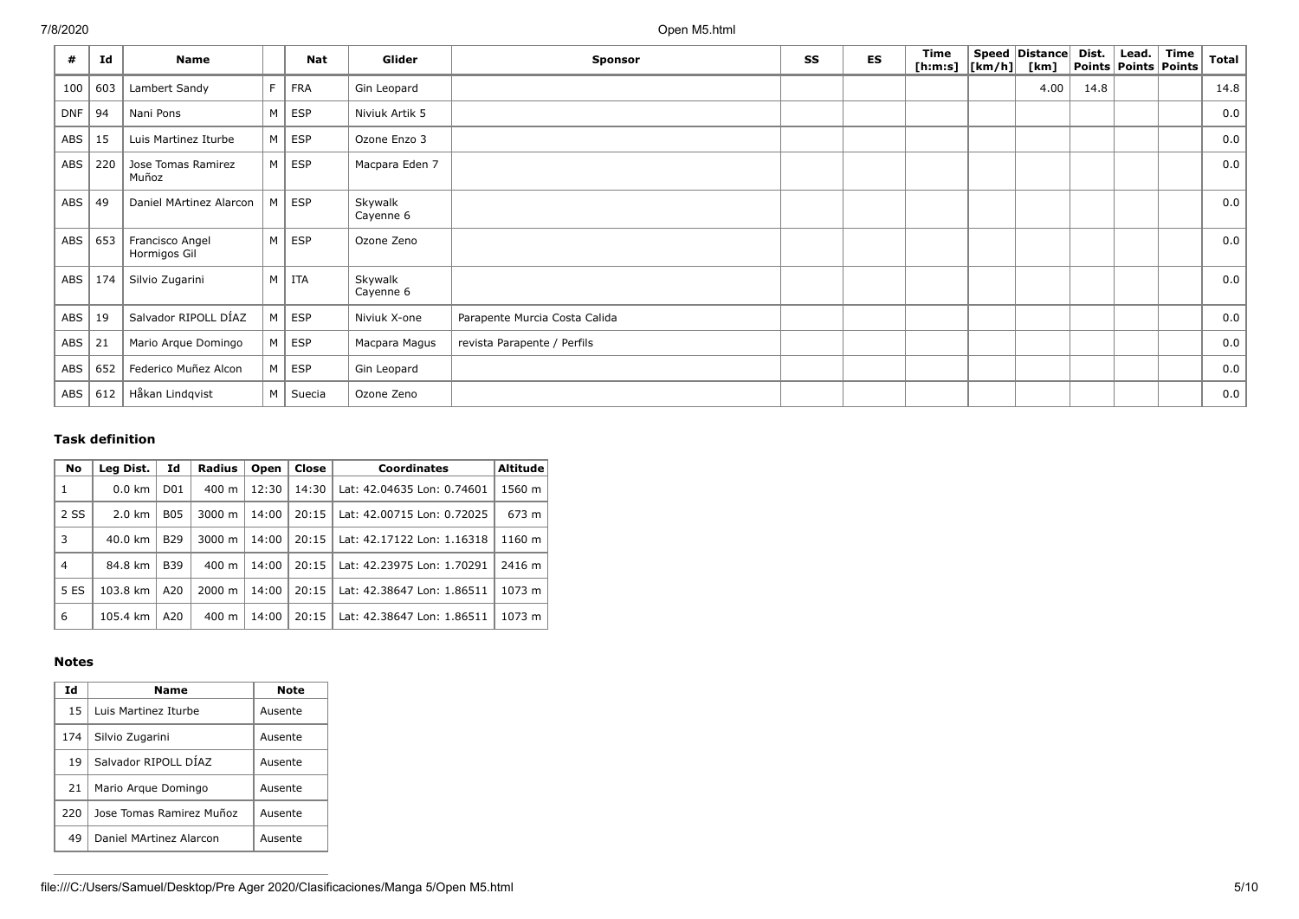| #          | Id  | <b>Name</b>                     |                | <b>Nat</b> | Glider               | <b>Sponsor</b>                | SS | <b>ES</b> | Time<br>[h:m:s] $ [km/h] $ | Speed Distance<br>[km] | Dist. | Lead. $ $ Time<br><b>Points Points Points</b> | <b>Total</b> |
|------------|-----|---------------------------------|----------------|------------|----------------------|-------------------------------|----|-----------|----------------------------|------------------------|-------|-----------------------------------------------|--------------|
| 100        | 603 | Lambert Sandy                   |                | <b>FRA</b> | Gin Leopard          |                               |    |           |                            | 4.00                   | 14.8  |                                               | 14.8         |
| <b>DNF</b> | 94  | Nani Pons                       | M              | ESP        | Niviuk Artik 5       |                               |    |           |                            |                        |       |                                               | 0.0          |
| ABS        | 15  | Luis Martinez Iturbe            | M              | <b>ESP</b> | Ozone Enzo 3         |                               |    |           |                            |                        |       |                                               | 0.0          |
| ABS        | 220 | Jose Tomas Ramirez<br>Muñoz     | M              | ESP        | Macpara Eden 7       |                               |    |           |                            |                        |       |                                               | 0.0          |
| ABS        | 49  | Daniel MArtinez Alarcon         | M              | ESP        | Skywalk<br>Cayenne 6 |                               |    |           |                            |                        |       |                                               | 0.0          |
| ABS        | 653 | Francisco Angel<br>Hormigos Gil | M              | ESP        | Ozone Zeno           |                               |    |           |                            |                        |       |                                               | 0.0          |
| ABS        | 174 | Silvio Zugarini                 | M <sub>1</sub> | <b>ITA</b> | Skywalk<br>Cayenne 6 |                               |    |           |                            |                        |       |                                               | 0.0          |
| ABS        | 19  | Salvador RIPOLL DÍAZ            | M              | ESP        | Niviuk X-one         | Parapente Murcia Costa Calida |    |           |                            |                        |       |                                               | 0.0          |
| ABS        | 21  | Mario Arque Domingo             | M              | ESP        | Macpara Magus        | revista Parapente / Perfils   |    |           |                            |                        |       |                                               | 0.0          |
| <b>ABS</b> | 652 | Federico Muñez Alcon            | M              | ESP        | Gin Leopard          |                               |    |           |                            |                        |       |                                               | 0.0          |
| ABS        | 612 | Håkan Lindqvist                 | M              | Suecia     | Ozone Zeno           |                               |    |           |                            |                        |       |                                               | 0.0          |

### **Task definition**

| No             | Leg Dist.         | Id               | <b>Radius</b>      | Open  | Close | <b>Coordinates</b>         | <b>Altitude</b> |
|----------------|-------------------|------------------|--------------------|-------|-------|----------------------------|-----------------|
| 1              | $0.0 \text{ km}$  | D <sub>0</sub> 1 | 400 m              | 12:30 | 14:30 | Lat: 42.04635 Lon: 0.74601 | 1560 m          |
| 2 SS           | $2.0 \text{ km}$  | <b>B05</b>       | $3000 \; \text{m}$ | 14:00 | 20:15 | Lat: 42.00715 Lon: 0.72025 | 673 m           |
| 3              | $40.0 \text{ km}$ | <b>B29</b>       | $3000 \; \text{m}$ | 14:00 | 20:15 | Lat: 42.17122 Lon: 1.16318 | 1160 m          |
| $\overline{4}$ | 84.8 km           | <b>B39</b>       | $400 \; \text{m}$  | 14:00 | 20:15 | Lat: 42.23975 Lon: 1.70291 | 2416 m          |
| 5 ES           | 103.8 km          | A20              | $2000 \; m$        | 14:00 | 20:15 | Lat: 42.38647 Lon: 1.86511 | 1073 m          |
| 6              | 105.4 km          | A20              | $400 \text{ m}$    | 14:00 | 20:15 | Lat: 42.38647 Lon: 1.86511 | 1073 m          |

### **Notes**

| Id  | Name                     | Note    |
|-----|--------------------------|---------|
| 15  | Luis Martinez Iturbe     | Ausente |
| 174 | Silvio Zugarini          | Ausente |
| 19  | Salvador RIPOLL DÍAZ     | Ausente |
| 21  | Mario Argue Domingo      | Ausente |
| 220 | Jose Tomas Ramirez Muñoz | Ausente |
| 49  | Daniel MArtinez Alarcon  | Ausente |

file:///C:/Users/Samuel/Desktop/Pre Ager 2020/Clasificaciones/Manga 5/Open M5.html 5/10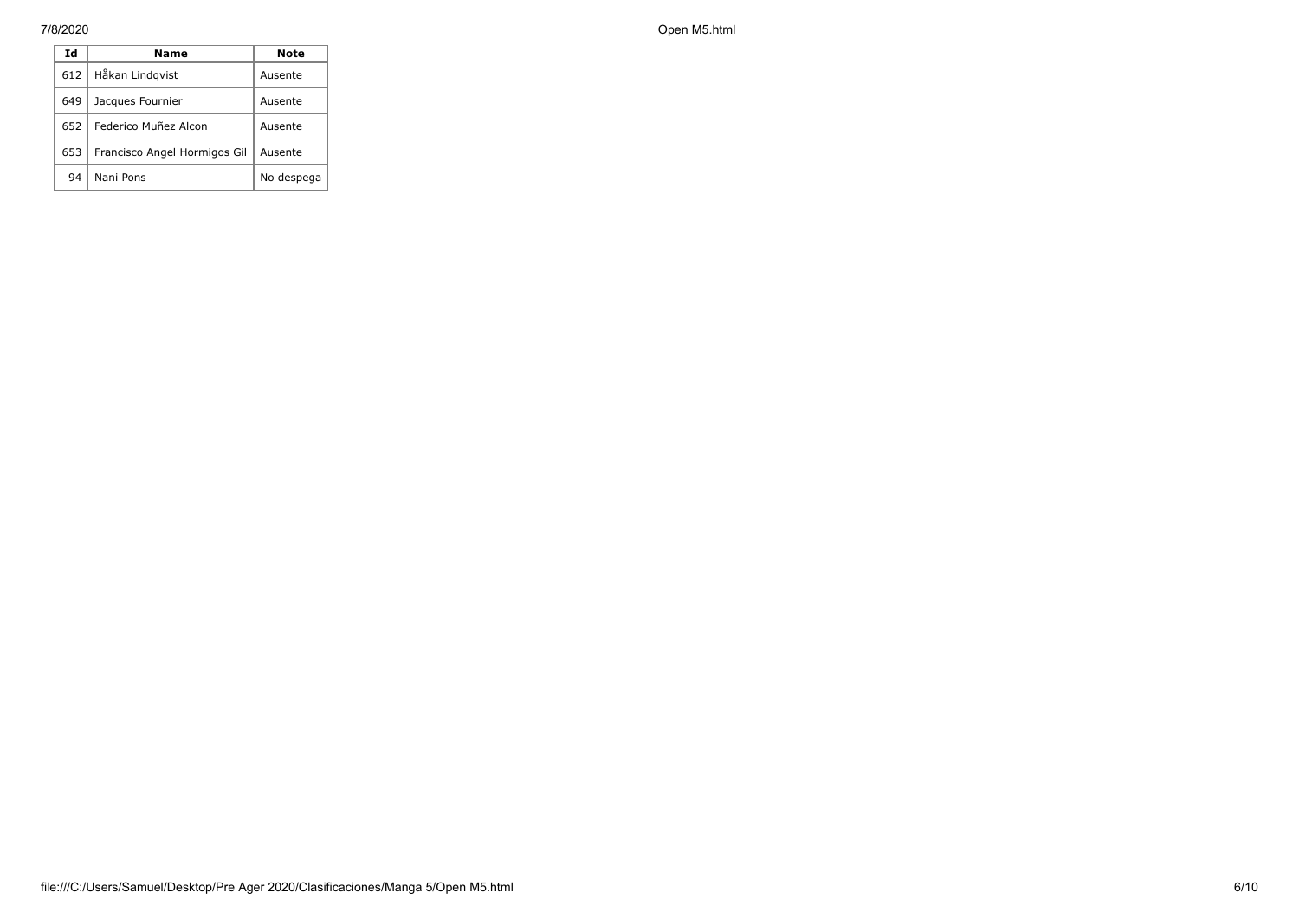| Id  | Name                         | Note       |
|-----|------------------------------|------------|
| 612 | Håkan Lindqvist              | Ausente    |
| 649 | Jacques Fournier             | Ausente    |
| 652 | Federico Muñez Alcon         | Ausente    |
| 653 | Francisco Angel Hormigos Gil | Ausente    |
| 94  | Nani Pons                    | No despega |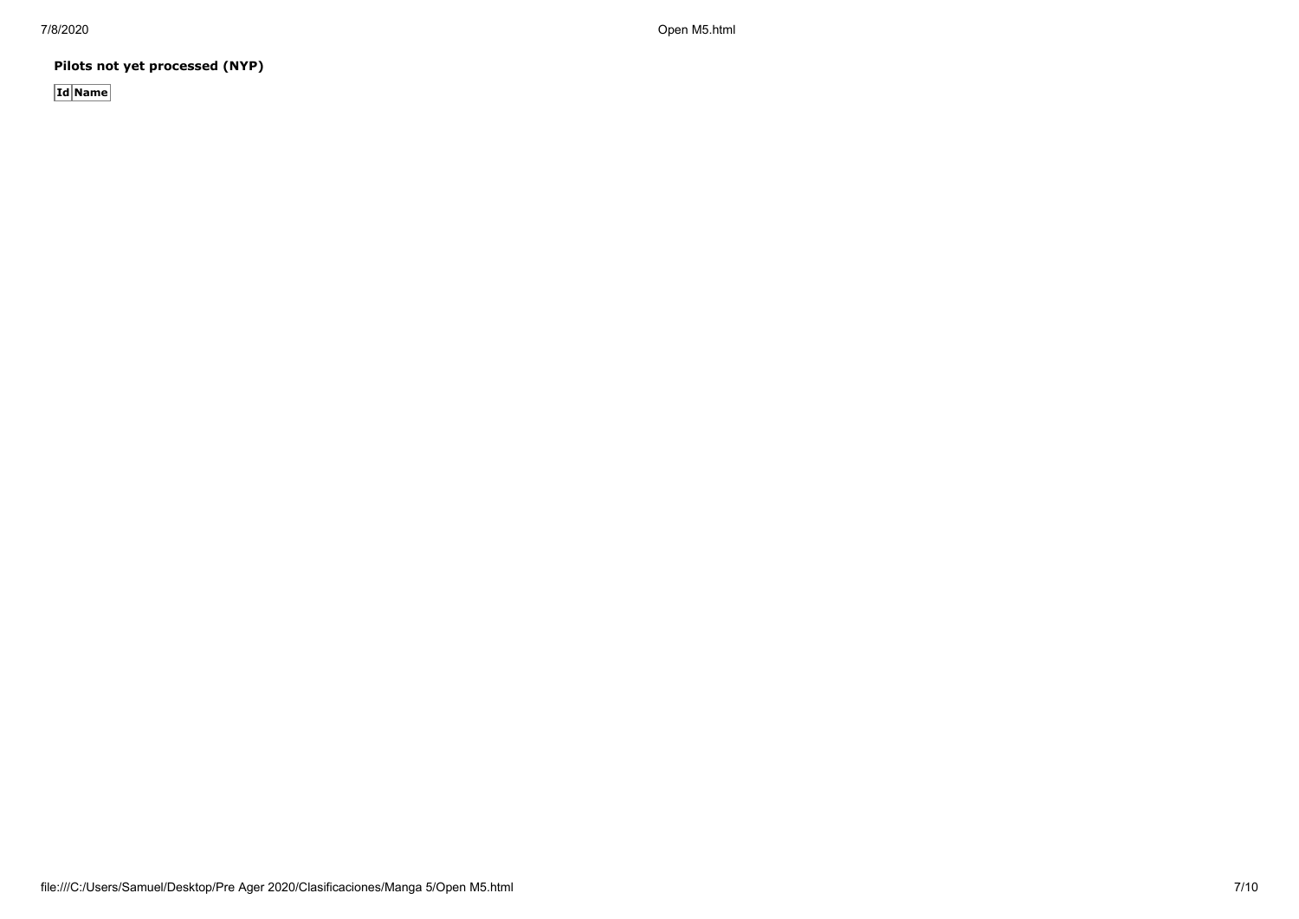**Pilots not yet processed (NYP)**

**Id Name**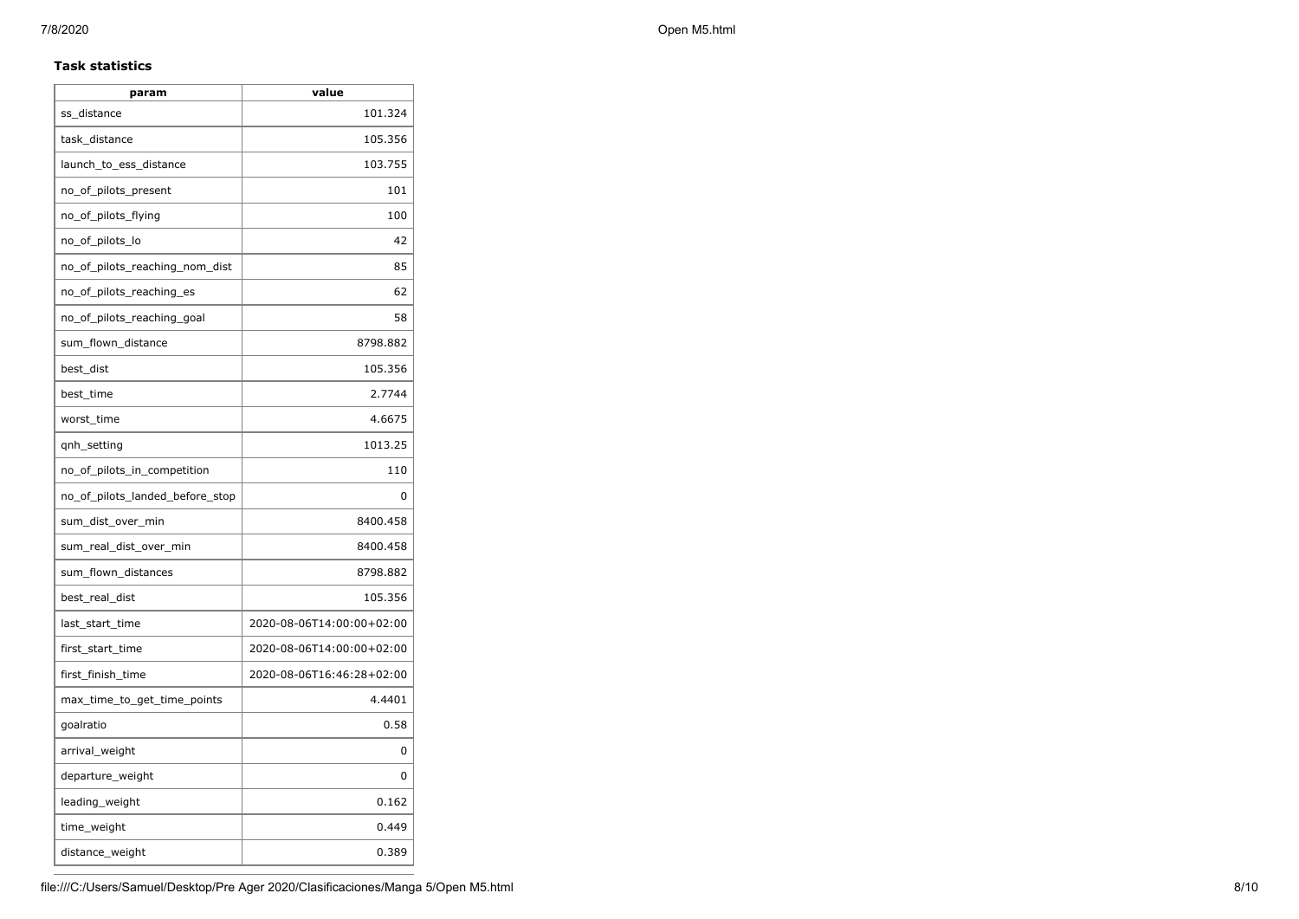## **Task statistics**

| param                           | value                     |
|---------------------------------|---------------------------|
| ss distance                     | 101.324                   |
| task_distance                   | 105.356                   |
| launch_to_ess_distance          | 103.755                   |
| no_of_pilots_present            | 101                       |
| no_of_pilots_flying             | 100                       |
| no_of_pilots_lo                 | 42                        |
| no_of_pilots_reaching_nom_dist  | 85                        |
| no_of_pilots_reaching_es        | 62                        |
| no_of_pilots_reaching_goal      | 58                        |
| sum_flown_distance              | 8798.882                  |
| best_dist                       | 105.356                   |
| best time                       | 2.7744                    |
| worst_time                      | 4.6675                    |
| qnh_setting                     | 1013.25                   |
| no_of_pilots_in_competition     | 110                       |
| no_of_pilots_landed_before_stop | 0                         |
| sum_dist_over_min               | 8400.458                  |
| sum_real_dist_over_min          | 8400.458                  |
| sum_flown_distances             | 8798.882                  |
| best_real_dist                  | 105.356                   |
| last_start_time                 | 2020-08-06T14:00:00+02:00 |
| first_start_time                | 2020-08-06T14:00:00+02:00 |
| first_finish_time               | 2020-08-06T16:46:28+02:00 |
| max_time_to_get_time_points     | 4.4401                    |
| goalratio                       | 0.58                      |
| arrival_weight                  | 0                         |
| departure_weight                | 0                         |
| leading_weight                  | 0.162                     |
| time_weight                     | 0.449                     |
| distance_weight                 | 0.389                     |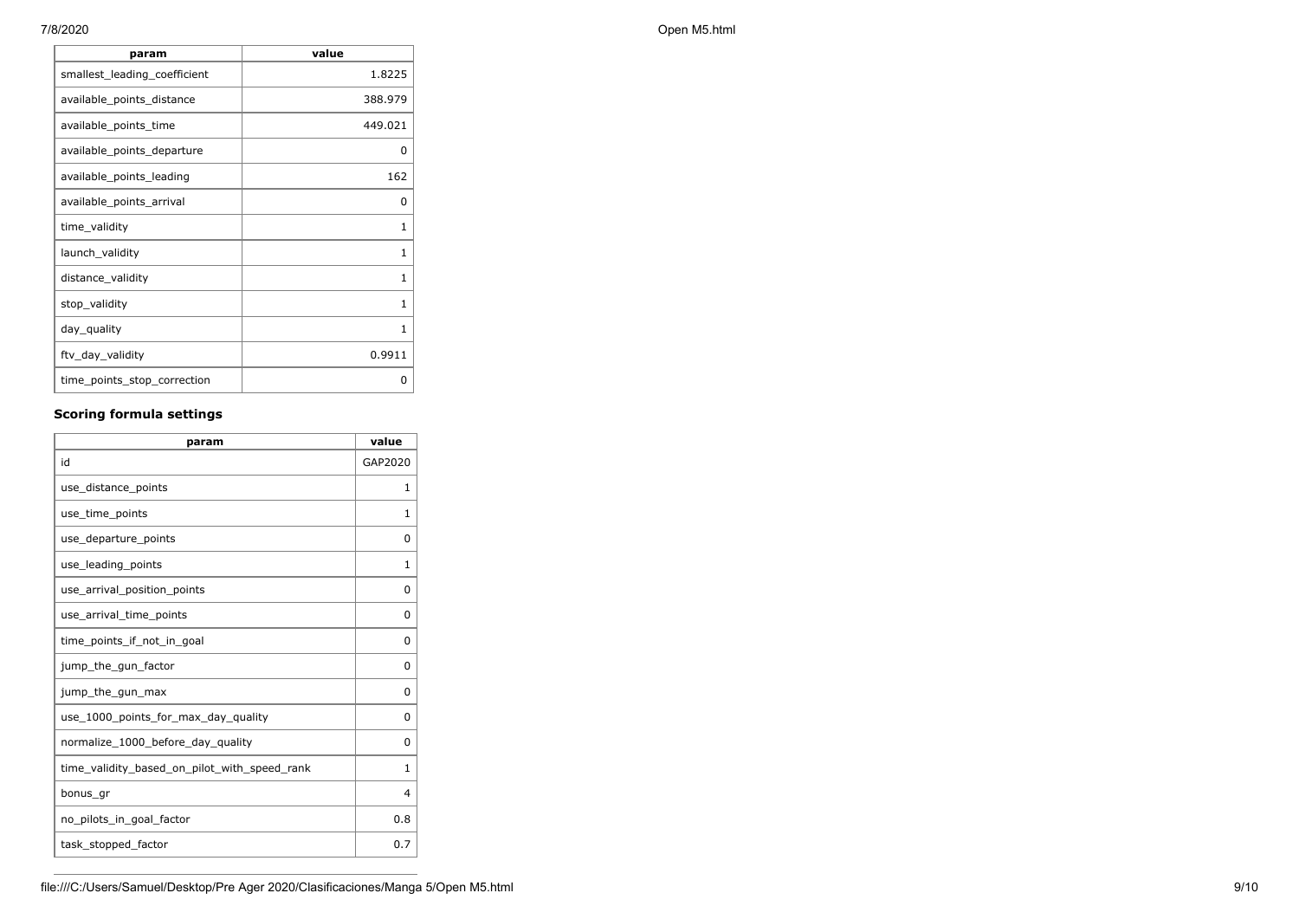| param                        | value        |
|------------------------------|--------------|
| smallest_leading_coefficient | 1.8225       |
| available_points_distance    | 388.979      |
| available_points_time        | 449.021      |
| available_points_departure   | <sup>0</sup> |
| available points leading     | 162          |
| available_points_arrival     | 0            |
| time_validity                | 1            |
| launch_validity              | 1            |
| distance_validity            | 1            |
| stop_validity                | $\mathbf{1}$ |
| day_quality                  | 1            |
| ftv_day_validity             | 0.9911       |
| time_points_stop_correction  | 0            |

## **Scoring formula settings**

| param                                        | value    |
|----------------------------------------------|----------|
| id                                           | GAP2020  |
| use_distance_points                          | 1        |
| use_time_points                              | 1        |
| use_departure_points                         | $\Omega$ |
| use_leading_points                           | 1        |
| use_arrival_position_points                  | 0        |
| use_arrival_time_points                      | 0        |
| time points if not in goal                   | $\Omega$ |
| jump_the_gun_factor                          | $\Omega$ |
| jump_the_gun_max                             | 0        |
| use 1000 points for max day quality          | $\Omega$ |
| normalize_1000_before_day_quality            | 0        |
| time_validity_based_on_pilot_with_speed_rank | 1        |
| bonus_gr                                     | 4        |
| no_pilots_in_goal_factor                     | 0.8      |
| task_stopped_factor                          | 0.7      |